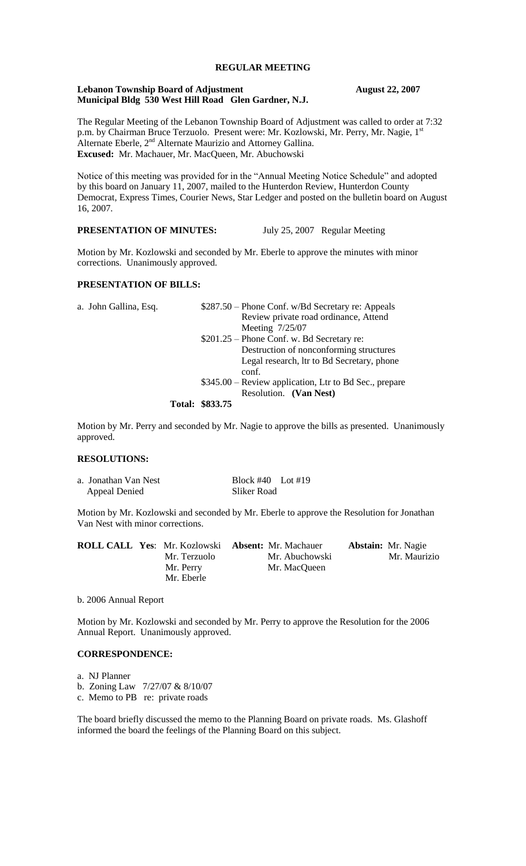# **REGULAR MEETING**

#### **Lebanon Township Board of Adjustment August 22, 2007 Municipal Bldg 530 West Hill Road Glen Gardner, N.J.**

The Regular Meeting of the Lebanon Township Board of Adjustment was called to order at 7:32 p.m. by Chairman Bruce Terzuolo. Present were: Mr. Kozlowski, Mr. Perry, Mr. Nagie, 1st Alternate Eberle,  $2<sup>nd</sup>$  Alternate Maurizio and Attorney Gallina. **Excused:** Mr. Machauer, Mr. MacQueen, Mr. Abuchowski

Notice of this meeting was provided for in the "Annual Meeting Notice Schedule" and adopted by this board on January 11, 2007, mailed to the Hunterdon Review, Hunterdon County Democrat, Express Times, Courier News, Star Ledger and posted on the bulletin board on August 16, 2007.

# **PRESENTATION OF MINUTES:** July 25, 2007 Regular Meeting

Motion by Mr. Kozlowski and seconded by Mr. Eberle to approve the minutes with minor corrections. Unanimously approved.

#### **PRESENTATION OF BILLS:**

| a. John Gallina, Esq. | \$287.50 – Phone Conf. w/Bd Secretary re: Appeals      |
|-----------------------|--------------------------------------------------------|
|                       | Review private road ordinance, Attend                  |
|                       | Meeting 7/25/07                                        |
|                       | $$201.25 - Phone Conf. w. Bd$ Secretary re:            |
|                       | Destruction of nonconforming structures                |
|                       | Legal research, ltr to Bd Secretary, phone             |
|                       | conf.                                                  |
|                       | \$345.00 – Review application, Ltr to Bd Sec., prepare |
|                       | Resolution. (Van Nest)                                 |
|                       | Total: $$833.75$                                       |

#### **Total: \$833.75**

Motion by Mr. Perry and seconded by Mr. Nagie to approve the bills as presented. Unanimously approved.

### **RESOLUTIONS:**

| a. Jonathan Van Nest | Block $\#40$ Lot $\#19$ |  |  |
|----------------------|-------------------------|--|--|
| <b>Appeal Denied</b> | Sliker Road             |  |  |

Motion by Mr. Kozlowski and seconded by Mr. Eberle to approve the Resolution for Jonathan Van Nest with minor corrections.

|  | <b>ROLL CALL Yes:</b> Mr. Kozlowski <b>Absent:</b> Mr. Machauer |                | <b>Abstain:</b> Mr. Nagie |
|--|-----------------------------------------------------------------|----------------|---------------------------|
|  | Mr. Terzuolo                                                    | Mr. Abuchowski | Mr. Maurizio              |
|  | Mr. Perry                                                       | Mr. MacQueen   |                           |
|  | Mr. Eberle                                                      |                |                           |

b. 2006 Annual Report

Motion by Mr. Kozlowski and seconded by Mr. Perry to approve the Resolution for the 2006 Annual Report. Unanimously approved.

## **CORRESPONDENCE:**

a. NJ Planner

b. Zoning Law 7/27/07 & 8/10/07 c. Memo to PB re: private roads

The board briefly discussed the memo to the Planning Board on private roads. Ms. Glashoff informed the board the feelings of the Planning Board on this subject.